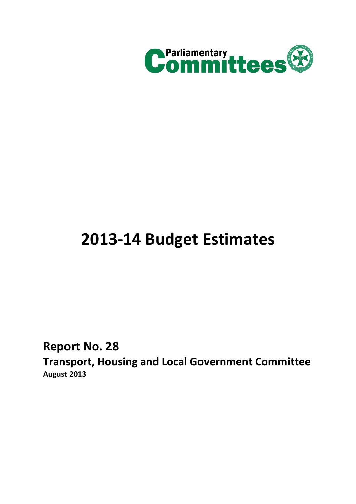

# **2013-14 Budget Estimates**

**Report No. 28**

**Transport, Housing and Local Government Committee August 2013**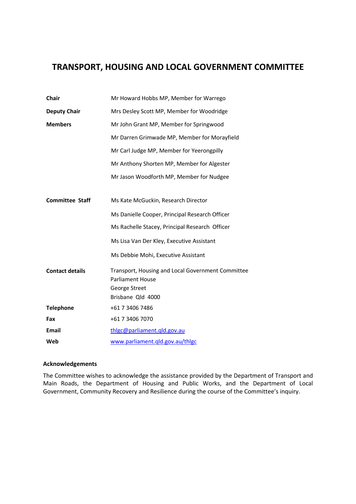# **TRANSPORT, HOUSING AND LOCAL GOVERNMENT COMMITTEE**

| Chair                  | Mr Howard Hobbs MP, Member for Warrego                                                                             |
|------------------------|--------------------------------------------------------------------------------------------------------------------|
| <b>Deputy Chair</b>    | Mrs Desley Scott MP, Member for Woodridge                                                                          |
| <b>Members</b>         | Mr John Grant MP, Member for Springwood                                                                            |
|                        | Mr Darren Grimwade MP, Member for Morayfield                                                                       |
|                        | Mr Carl Judge MP, Member for Yeerongpilly                                                                          |
|                        | Mr Anthony Shorten MP, Member for Algester                                                                         |
|                        | Mr Jason Woodforth MP, Member for Nudgee                                                                           |
|                        |                                                                                                                    |
| <b>Committee Staff</b> | Ms Kate McGuckin, Research Director                                                                                |
|                        | Ms Danielle Cooper, Principal Research Officer                                                                     |
|                        | Ms Rachelle Stacey, Principal Research Officer                                                                     |
|                        | Ms Lisa Van Der Kley, Executive Assistant                                                                          |
|                        | Ms Debbie Mohi, Executive Assistant                                                                                |
| <b>Contact details</b> | Transport, Housing and Local Government Committee<br><b>Parliament House</b><br>George Street<br>Brisbane Qld 4000 |
| <b>Telephone</b>       | +61 7 3406 7486                                                                                                    |
| Fax                    | +61 7 3406 7070                                                                                                    |
| <b>Email</b>           | thlgc@parliament.qld.gov.au                                                                                        |
| Web                    | www.parliament.qld.gov.au/thlgc                                                                                    |

#### **Acknowledgements**

The Committee wishes to acknowledge the assistance provided by the Department of Transport and Main Roads, the Department of Housing and Public Works, and the Department of Local Government, Community Recovery and Resilience during the course of the Committee's inquiry.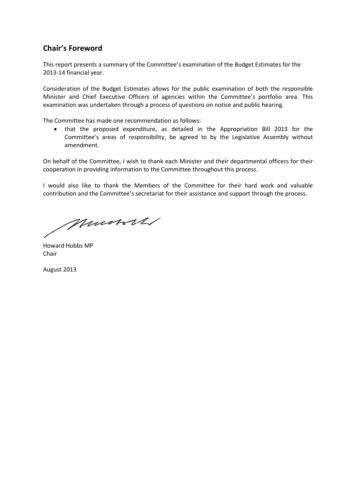# **Chair's Foreword**

This report presents a summary of the Committee's examination of the Budget Estimates for the 2013-14 financial year.

Consideration of the Budget Estimates allows for the public examination of both the responsible Minister and Chief Executive Officers of agencies within the Committee's portfolio area. This examination was undertaken through a process of questions on notice and public hearing.

The Committee has made one recommendation as follows:

 that the proposed expenditure, as detailed in the Appropriation Bill 2013 for the Committee's areas of responsibility, be agreed to by the Legislative Assembly without amendment.

On behalf of the Committee, I wish to thank each Minister and their departmental officers for their cooperation in providing information to the Committee throughout this process.

I would also like to thank the Members of the Committee for their hard work and valuable contribution and the Committee's secretariat for their assistance and support through the process.

Munsoll

Howard Hobbs MP Chair

August 2013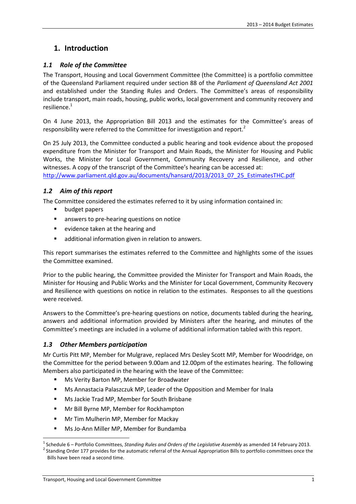# **1. Introduction**

#### *1.1 Role of the Committee*

The Transport, Housing and Local Government Committee (the Committee) is a portfolio committee of the Queensland Parliament required under section 88 of the *Parliament of Queensland Act 2001* and established under the Standing Rules and Orders. The Committee's areas of responsibility include transport, main roads, housing, public works, local government and community recovery and resilience.<sup>1</sup>

On 4 June 2013, the Appropriation Bill 2013 and the estimates for the Committee's areas of responsibility were referred to the Committee for investigation and report.<sup>2</sup>

On 25 July 2013, the Committee conducted a public hearing and took evidence about the proposed expenditure from the Minister for Transport and Main Roads, the Minister for Housing and Public Works, the Minister for Local Government, Community Recovery and Resilience, and other witnesses. A copy of the transcript of the Committee's hearing can be accessed at:

http://www.parliament.qld.gov.au/documents/hansard/2013/2013\_07\_25\_EstimatesTHC.pdf

### *1.2 Aim of this report*

The Committee considered the estimates referred to it by using information contained in:

- budget papers
- **answers to pre-hearing questions on notice**
- **E** evidence taken at the hearing and
- additional information given in relation to answers.

This report summarises the estimates referred to the Committee and highlights some of the issues the Committee examined.

Prior to the public hearing, the Committee provided the Minister for Transport and Main Roads, the Minister for Housing and Public Works and the Minister for Local Government, Community Recovery and Resilience with questions on notice in relation to the estimates. Responses to all the questions were received.

Answers to the Committee's pre-hearing questions on notice, documents tabled during the hearing, answers and additional information provided by Ministers after the hearing, and minutes of the Committee's meetings are included in a volume of additional information tabled with this report.

#### *1.3 Other Members participation*

Mr Curtis Pitt MP, Member for Mulgrave, replaced Mrs Desley Scott MP, Member for Woodridge, on the Committee for the period between 9.00am and 12.00pm of the estimates hearing. The following Members also participated in the hearing with the leave of the Committee:

- Ms Verity Barton MP, Member for Broadwater
- **Ms Annastacia Palaszczuk MP, Leader of the Opposition and Member for Inala**
- **Ms Jackie Trad MP, Member for South Brisbane**
- **Mr Bill Byrne MP, Member for Rockhampton**
- **Mr Tim Mulherin MP, Member for Mackay**
- Ms Jo-Ann Miller MP, Member for Bundamba

<sup>1</sup> Schedule 6 – Portfolio Committees, *Standing Rules and Orders of the Legislative Assembly* as amended 14 February 2013.

 $^2$  Standing Order 177 provides for the automatic referral of the Annual Appropriation Bills to portfolio committees once the Bills have been read a second time.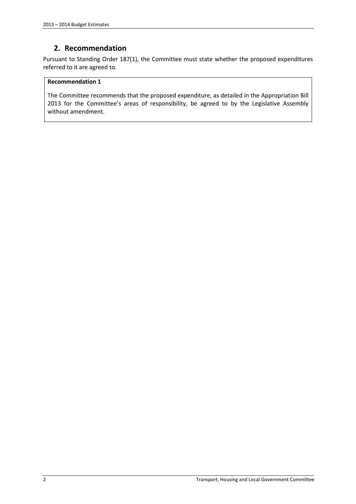# **2. Recommendation**

Pursuant to Standing Order 187(1), the Committee must state whether the proposed expenditures referred to it are agreed to.

#### **Recommendation 1**

The Committee recommends that the proposed expenditure, as detailed in the Appropriation Bill 2013 for the Committee's areas of responsibility, be agreed to by the Legislative Assembly without amendment.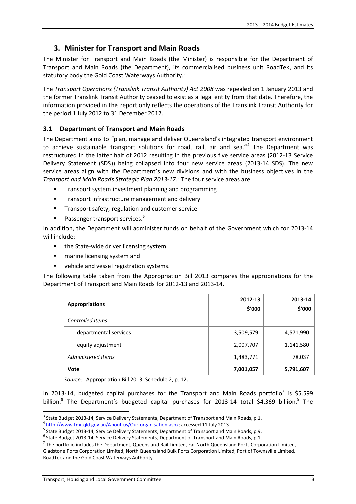# **3. Minister for Transport and Main Roads**

The Minister for Transport and Main Roads (the Minister) is responsible for the Department of Transport and Main Roads (the Department), its commercialised business unit RoadTek, and its statutory body the Gold Coast Waterways Authority.<sup>3</sup>

The *Transport Operations (Translink Transit Authority) Act 2008* was repealed on 1 January 2013 and the former Translink Transit Authority ceased to exist as a legal entity from that date. Therefore, the information provided in this report only reflects the operations of the Translink Transit Authority for the period 1 July 2012 to 31 December 2012.

#### **3.1 Department of Transport and Main Roads**

The Department aims to "plan, manage and deliver Queensland's integrated transport environment to achieve sustainable transport solutions for road, rail, air and sea."<sup>4</sup> The Department was restructured in the latter half of 2012 resulting in the previous five service areas (2012-13 Service Delivery Statement (SDS)) being collapsed into four new service areas (2013-14 SDS). The new service areas align with the Department's new divisions and with the business objectives in the *Transport and Main Roads Strategic Plan 2013-17*. 5 The four service areas are:

- **Transport system investment planning and programming**
- **Transport infrastructure management and delivery**
- Transport safety, regulation and customer service
- Passenger transport services.<sup>6</sup>

In addition, the Department will administer funds on behalf of the Government which for 2013-14 will include:

- the State-wide driver licensing system
- **n** marine licensing system and
- **vehicle and vessel registration systems.**

The following table taken from the Appropriation Bill 2013 compares the appropriations for the Department of Transport and Main Roads for 2012-13 and 2013-14.

| <b>Appropriations</b> | 2012-13<br>\$'000 | 2013-14<br>\$'000 |
|-----------------------|-------------------|-------------------|
| Controlled Items      |                   |                   |
| departmental services | 3,509,579         | 4,571,990         |
| equity adjustment     | 2,007,707         | 1,141,580         |
| Administered Items    | 1,483,771         | 78,037            |
| Vote                  | 7,001,057         | 5,791,607         |

*Source*: Appropriation Bill 2013, Schedule 2, p. 12.

In 2013-14, budgeted capital purchases for the Transport and Main Roads portfolio<sup>7</sup> is \$5.599 billion.<sup>8</sup> The Department's budgeted capital purchases for 2013-14 total \$4.369 billion.<sup>9</sup> The

 $^3$  State Budget 2013-14, Service Delivery Statements, Department of Transport and Main Roads, p.1.

<sup>&</sup>lt;sup>4</sup> http://www.tmr.qld.gov.au/About-us/Our-organisation.aspx; accessed 11 July 2013

<sup>&</sup>lt;sup>5</sup> State Budget 2013-14, Service Delivery Statements, Department of Transport and Main Roads, p.9.

<sup>&</sup>lt;sup>6</sup> State Budget 2013-14, Service Delivery Statements, Department of Transport and Main Roads, p.1.

 $^7$  The portfolio includes the Department, Queensland Rail Limited, Far North Queensland Ports Corporation Limited, Gladstone Ports Corporation Limited, North Queensland Bulk Ports Corporation Limited, Port of Townsville Limited, RoadTek and the Gold Coast Waterways Authority.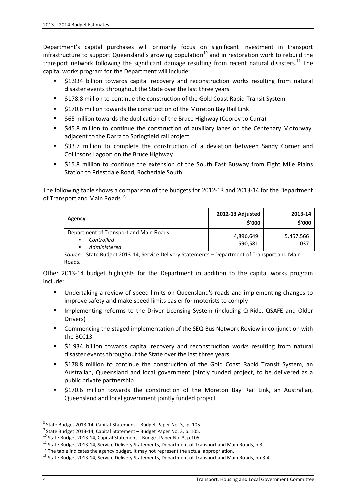Department's capital purchases will primarily focus on significant investment in transport infrastructure to support Queensland's growing population<sup>10</sup> and in restoration work to rebuild the transport network following the significant damage resulting from recent natural disasters.<sup>11</sup> The capital works program for the Department will include:

- \$1.934 billion towards capital recovery and reconstruction works resulting from natural disaster events throughout the State over the last three years
- \$178.8 million to continue the construction of the Gold Coast Rapid Transit System
- **5170.6 million towards the construction of the Moreton Bay Rail Link**
- **565 million towards the duplication of the Bruce Highway (Cooroy to Curra)**
- \$45.8 million to continue the construction of auxiliary lanes on the Centenary Motorway, adjacent to the Darra to Springfield rail project
- \$33.7 million to complete the construction of a deviation between Sandy Corner and Collinsons Lagoon on the Bruce Highway
- \$15.8 million to continue the extension of the South East Busway from Eight Mile Plains Station to Priestdale Road, Rochedale South.

The following table shows a comparison of the budgets for 2012-13 and 2013-14 for the Department of Transport and Main Roads<sup>12</sup>:

| Agency                                                                         | 2012-13 Adjusted<br>\$'000 | 2013-14<br>\$′000  |
|--------------------------------------------------------------------------------|----------------------------|--------------------|
| Department of Transport and Main Roads<br>Controlled<br>٠<br>Administered<br>٠ | 4,896,649<br>590,581       | 5,457,566<br>1,037 |

*Source*: State Budget 2013-14, Service Delivery Statements – Department of Transport and Main Roads.

Other 2013-14 budget highlights for the Department in addition to the capital works program include:

- Undertaking a review of speed limits on Queensland's roads and implementing changes to improve safety and make speed limits easier for motorists to comply
- **IMPLEMENTER 19 Implementing reforms to the Driver Licensing System (including Q-Ride, QSAFE and Older** Drivers)
- Commencing the staged implementation of the SEQ Bus Network Review in conjunction with the BCC13
- \$1.934 billion towards capital recovery and reconstruction works resulting from natural disaster events throughout the State over the last three years
- \$178.8 million to continue the construction of the Gold Coast Rapid Transit System, an Australian, Queensland and local government jointly funded project, to be delivered as a public private partnership
- \$170.6 million towards the construction of the Moreton Bay Rail Link, an Australian, Queensland and local government jointly funded project

 $^8$  State Budget 2013-14, Capital Statement – Budget Paper No. 3, p. 105.

<sup>&</sup>lt;sup>9</sup> State Budget 2013-14, Capital Statement – Budget Paper No. 3, p. 105.

<sup>10</sup> State Budget 2013-14, Capital Statement – Budget Paper No. 3, p.105.

<sup>&</sup>lt;sup>11</sup> State Budget 2013-14, Service Delivery Statements, Department of Transport and Main Roads, p.3.

<sup>&</sup>lt;sup>12</sup> The table indicates the agency budget. It may not represent the actual appropriation.

<sup>&</sup>lt;sup>13</sup> State Budget 2013-14, Service Delivery Statements, Department of Transport and Main Roads, pp.3-4.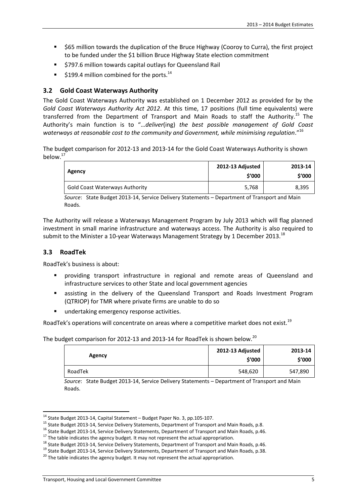- \$65 million towards the duplication of the Bruce Highway (Cooroy to Curra), the first project to be funded under the \$1 billion Bruce Highway State election commitment
- **5797.6 million towards capital outlays for Queensland Rail**
- $\approx$  \$199.4 million combined for the ports.<sup>14</sup>

### **3.2 Gold Coast Waterways Authority**

The Gold Coast Waterways Authority was established on 1 December 2012 as provided for by the *Gold Coast Waterways Authority Act 2012*. At this time, 17 positions (full time equivalents) were transferred from the Department of Transport and Main Roads to staff the Authority.<sup>15</sup> The Authority's main function is to "…*deliver*(ing) *the best possible management of Gold Coast waterways at reasonable cost to the community and Government, while minimising regulation*."<sup>16</sup>

The budget comparison for 2012-13 and 2013-14 for the Gold Coast Waterways Authority is shown below.<sup>17</sup>

| Agency                                | 2012-13 Adjusted<br>\$'000 | 2013-14<br>\$'000 |
|---------------------------------------|----------------------------|-------------------|
| <b>Gold Coast Waterways Authority</b> | 5,768                      | 8,395             |

*Source*: State Budget 2013-14, Service Delivery Statements – Department of Transport and Main Roads.

The Authority will release a Waterways Management Program by July 2013 which will flag planned investment in small marine infrastructure and waterways access. The Authority is also required to submit to the Minister a 10-year Waterways Management Strategy by 1 December 2013.<sup>18</sup>

#### **3.3 RoadTek**

RoadTek's business is about:

- providing transport infrastructure in regional and remote areas of Queensland and infrastructure services to other State and local government agencies
- assisting in the delivery of the Queensland Transport and Roads Investment Program (QTRIOP) for TMR where private firms are unable to do so
- **undertaking emergency response activities.**

RoadTek's operations will concentrate on areas where a competitive market does not exist.<sup>19</sup>

The budget comparison for 2012-13 and 2013-14 for RoadTek is shown below.<sup>20</sup>

| Agency  | 2012-13 Adjusted<br>\$′000 | 2013-14<br>\$′000 |
|---------|----------------------------|-------------------|
| RoadTek | 548,620                    | 547,890           |

*Source*: State Budget 2013-14, Service Delivery Statements – Department of Transport and Main Roads.

<sup>14</sup> State Budget 2013-14, Capital Statement – Budget Paper No. 3, pp.105-107.

<sup>15</sup> State Budget 2013-14, Service Delivery Statements, Department of Transport and Main Roads, p.8.

<sup>&</sup>lt;sup>16</sup> State Budget 2013-14, Service Delivery Statements, Department of Transport and Main Roads, p.46.

 $17$  The table indicates the agency budget. It may not represent the actual appropriation.

<sup>&</sup>lt;sup>18</sup> State Budget 2013-14, Service Delivery Statements, Department of Transport and Main Roads, p.46.

<sup>&</sup>lt;sup>19</sup> State Budget 2013-14, Service Delivery Statements, Department of Transport and Main Roads, p.38.

 $20$  The table indicates the agency budget. It may not represent the actual appropriation.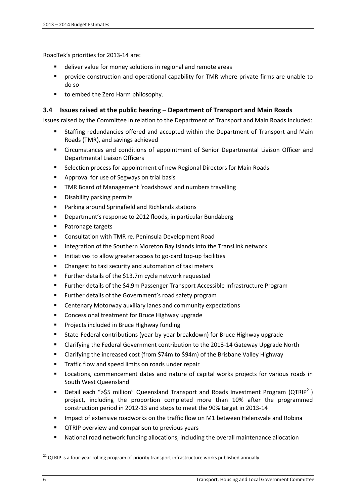RoadTek's priorities for 2013-14 are:

- deliver value for money solutions in regional and remote areas
- provide construction and operational capability for TMR where private firms are unable to do so
- to embed the Zero Harm philosophy.

#### **3.4 Issues raised at the public hearing – Department of Transport and Main Roads**

Issues raised by the Committee in relation to the Department of Transport and Main Roads included:

- Staffing redundancies offered and accepted within the Department of Transport and Main Roads (TMR), and savings achieved
- Circumstances and conditions of appointment of Senior Departmental Liaison Officer and Departmental Liaison Officers
- Selection process for appointment of new Regional Directors for Main Roads
- **Approval for use of Segways on trial basis**
- **TMR Board of Management 'roadshows' and numbers travelling**
- **Disability parking permits**
- **Parking around Springfield and Richlands stations**
- **•** Department's response to 2012 floods, in particular Bundaberg
- **Patronage targets**
- Consultation with TMR re. Peninsula Development Road
- **Integration of the Southern Moreton Bay islands into the TransLink network**
- **Initiatives to allow greater access to go-card top-up facilities**
- Changest to taxi security and automation of taxi meters
- Further details of the \$13.7m cycle network requested
- Further details of the \$4.9m Passenger Transport Accessible Infrastructure Program
- **Further details of the Government's road safety program**
- Centenary Motorway auxiliary lanes and community expectations
- **EXP** Concessional treatment for Bruce Highway upgrade
- **Projects included in Bruce Highway funding**
- State-Federal contributions (year-by-year breakdown) for Bruce Highway upgrade
- Clarifying the Federal Government contribution to the 2013-14 Gateway Upgrade North
- Clarifying the increased cost (from \$74m to \$94m) of the Brisbane Valley Highway
- **Traffic flow and speed limits on roads under repair**
- Locations, commencement dates and nature of capital works projects for various roads in South West Queensland
- Detail each ">\$5 million" Queensland Transport and Roads Investment Program ( $QTRIP<sup>21</sup>$ ) project, including the proportion completed more than 10% after the programmed construction period in 2012-13 and steps to meet the 90% target in 2013-14
- **IMPACT 1.5 Impact of extensive roadworks on the traffic flow on M1 between Helensvale and Robina**
- **QTRIP overview and comparison to previous years**
- National road network funding allocations, including the overall maintenance allocation

 $21$  QTRIP is a four-year rolling program of priority transport infrastructure works published annually.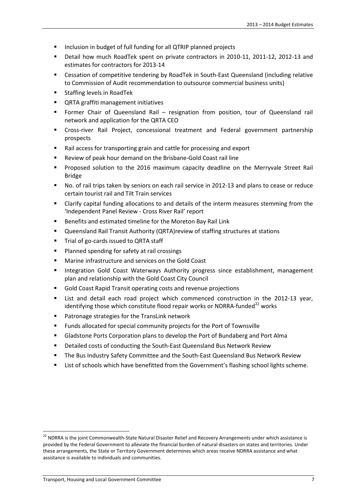- Inclusion in budget of full funding for all QTRIP planned projects
- Detail how much RoadTek spent on private contractors in 2010-11, 2011-12, 2012-13 and estimates for contractors for 2013-14
- Cessation of competitive tendering by RoadTek in South-East Queensland (including relative to Commission of Audit recommendation to outsource commercial business units)
- Staffing levels in RoadTek
- **QRTA graffiti management initiatives**
- Former Chair of Queensland Rail resignation from position, tour of Queensland rail network and application for the QRTA CEO
- Cross-river Rail Project, concessional treatment and Federal government partnership prospects
- Rail access for transporting grain and cattle for processing and export
- Review of peak hour demand on the Brisbane-Gold Coast rail line
- Proposed solution to the 2016 maximum capacity deadline on the Merryvale Street Rail Bridge
- No. of rail trips taken by seniors on each rail service in 2012-13 and plans to cease or reduce certain tourist rail and Tilt Train services
- Clarify capital funding allocations to and details of the interm measures stemming from the 'Independent Panel Review - Cross River Rail' report
- Benefits and estimated timeline for the Moreton Bay Rail Link
- Queensland Rail Transit Authority (QRTA)review of staffing structures at stations
- **Trial of go-cards issued to QRTA staff**
- **Planned spending for safety at rail crossings**
- **Marine infrastructure and services on the Gold Coast**
- **Integration Gold Coast Waterways Authority progress since establishment, management** plan and relationship with the Gold Coast City Council
- Gold Coast Rapid Transit operating costs and revenue projections
- List and detail each road project which commenced construction in the 2012-13 year, identifying those which constitute flood repair works or NDRRA-funded<sup>22</sup> works
- Patronage strategies for the TransLink network
- Funds allocated for special community projects for the Port of Townsville
- Gladstone Ports Corporation plans to develop the Port of Bundaberg and Port Alma
- Detailed costs of conducting the South-East Queensland Bus Network Review
- The Bus Industry Safety Committee and the South-East Queensland Bus Network Review
- List of schools which have benefitted from the Government's flashing school lights scheme.

<sup>&</sup>lt;sup>22</sup> NDRRA is the joint Commonwealth-State Natural Disaster Relief and Recovery Arrangements under which assistance is provided by the Federal Government to alleviate the financial burden of natural disasters on states and territories. Under these arrangements, the State or Territory Government determines which areas receive NDRRA assistance and what assistance is available to individuals and communities.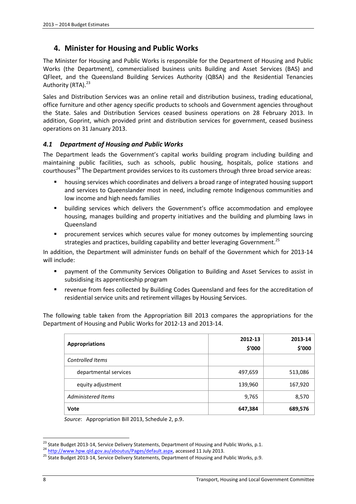# **4. Minister for Housing and Public Works**

The Minister for Housing and Public Works is responsible for the Department of Housing and Public Works (the Department), commercialised business units Building and Asset Services (BAS) and QFleet, and the Queensland Building Services Authority (QBSA) and the Residential Tenancies Authority (RTA).<sup>23</sup>

Sales and Distribution Services was an online retail and distribution business, trading educational, office furniture and other agency specific products to schools and Government agencies throughout the State. Sales and Distribution Services ceased business operations on 28 February 2013. In addition, Goprint, which provided print and distribution services for government, ceased business operations on 31 January 2013.

### *4.1 Department of Housing and Public Works*

The Department leads the Government's capital works building program including building and maintaining public facilities, such as schools, public housing, hospitals, police stations and courthouses<sup>24</sup> The Department provides services to its customers through three broad service areas:

- housing services which coordinates and delivers a broad range of integrated housing support and services to Queenslander most in need, including remote Indigenous communities and low income and high needs families
- building services which delivers the Government's office accommodation and employee housing, manages building and property initiatives and the building and plumbing laws in Queensland
- **P** procurement services which secures value for money outcomes by implementing sourcing strategies and practices, building capability and better leveraging Government.<sup>25</sup>

In addition, the Department will administer funds on behalf of the Government which for 2013-14 will include:

- payment of the Community Services Obligation to Building and Asset Services to assist in subsidising its apprenticeship program
- revenue from fees collected by Building Codes Queensland and fees for the accreditation of residential service units and retirement villages by Housing Services.

The following table taken from the Appropriation Bill 2013 compares the appropriations for the Department of Housing and Public Works for 2012-13 and 2013-14.

| <b>Appropriations</b>   | 2012-13<br>\$'000 | 2013-14<br>\$'000 |
|-------------------------|-------------------|-------------------|
| <b>Controlled Items</b> |                   |                   |
| departmental services   | 497,659           | 513,086           |
| equity adjustment       | 139,960           | 167,920           |
| Administered Items      | 9,765             | 8,570             |
| Vote                    | 647,384           | 689,576           |

*Source*: Appropriation Bill 2013, Schedule 2, p.9.

<sup>&</sup>lt;sup>23</sup> State Budget 2013-14, Service Delivery Statements, Department of Housing and Public Works, p.1.

<sup>24</sup> http://www.hpw.qld.gov.au/aboutus/Pages/default.aspx, accessed 11 July 2013.

<sup>&</sup>lt;sup>25</sup> State Budget 2013-14, Service Delivery Statements, Department of Housing and Public Works, p.9.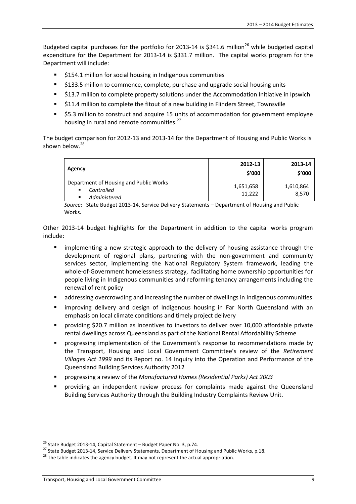Budgeted capital purchases for the portfolio for 2013-14 is \$341.6 million<sup>26</sup> while budgeted capital expenditure for the Department for 2013-14 is \$331.7 million. The capital works program for the Department will include:

- \$154.1 million for social housing in Indigenous communities
- **5133.5 million to commence, complete, purchase and upgrade social housing units**
- \$13.7 million to complete property solutions under the Accommodation Initiative in Ipswich
- \$11.4 million to complete the fitout of a new building in Flinders Street, Townsville
- **55.3 million to construct and acquire 15 units of accommodation for government employee** housing in rural and remote communities.<sup>27</sup>

The budget comparison for 2012-13 and 2013-14 for the Department of Housing and Public Works is shown below. $28$ 

| Agency                                                                               | 2012-13<br>\$'000   | 2013-14<br>\$'000  |
|--------------------------------------------------------------------------------------|---------------------|--------------------|
| Department of Housing and Public Works<br>Controlled<br>$\mathbf{r}$<br>Administered | 1,651,658<br>11,222 | 1,610,864<br>8.570 |

*Source*: State Budget 2013-14, Service Delivery Statements – Department of Housing and Public Works.

Other 2013-14 budget highlights for the Department in addition to the capital works program include:

- implementing a new strategic approach to the delivery of housing assistance through the development of regional plans, partnering with the non-government and community services sector, implementing the National Regulatory System framework, leading the whole-of-Government homelessness strategy, facilitating home ownership opportunities for people living in Indigenous communities and reforming tenancy arrangements including the renewal of rent policy
- addressing overcrowding and increasing the number of dwellings in Indigenous communities
- improving delivery and design of Indigenous housing in Far North Queensland with an emphasis on local climate conditions and timely project delivery
- providing \$20.7 million as incentives to investors to deliver over 10,000 affordable private rental dwellings across Queensland as part of the National Rental Affordability Scheme
- progressing implementation of the Government's response to recommendations made by the Transport, Housing and Local Government Committee's review of the *Retirement Villages Act 1999* and its Report no. 14 Inquiry into the Operation and Performance of the Queensland Building Services Authority 2012
- progressing a review of the *Manufactured Homes (Residential Parks) Act 2003*
- providing an independent review process for complaints made against the Queensland Building Services Authority through the Building Industry Complaints Review Unit.

<sup>26</sup> State Budget 2013-14, Capital Statement – Budget Paper No. 3, p.74.

<sup>&</sup>lt;sup>27</sup> State Budget 2013-14, Service Delivery Statements, Department of Housing and Public Works, p.18.

 $28$  The table indicates the agency budget. It may not represent the actual appropriation.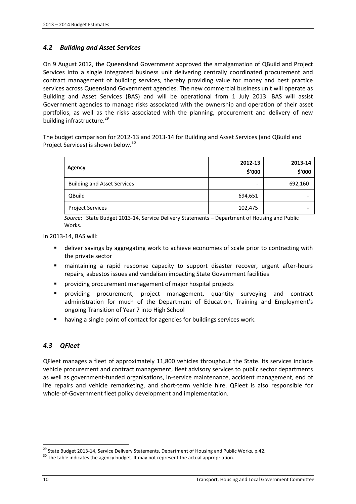#### *4.2 Building and Asset Services*

On 9 August 2012, the Queensland Government approved the amalgamation of QBuild and Project Services into a single integrated business unit delivering centrally coordinated procurement and contract management of building services, thereby providing value for money and best practice services across Queensland Government agencies. The new commercial business unit will operate as Building and Asset Services (BAS) and will be operational from 1 July 2013. BAS will assist Government agencies to manage risks associated with the ownership and operation of their asset portfolios, as well as the risks associated with the planning, procurement and delivery of new building infrastructure.<sup>29</sup>

The budget comparison for 2012-13 and 2013-14 for Building and Asset Services (and QBuild and Project Services) is shown below.<sup>30</sup>

| Agency                             | 2012-13<br>\$'000        | 2013-14<br>\$'000 |
|------------------------------------|--------------------------|-------------------|
| <b>Building and Asset Services</b> | $\overline{\phantom{a}}$ | 692,160           |
| QBuild                             | 694,651                  | -                 |
| <b>Project Services</b>            | 102,475                  | -                 |

*Source*: State Budget 2013-14, Service Delivery Statements – Department of Housing and Public Works.

In 2013-14, BAS will:

- deliver savings by aggregating work to achieve economies of scale prior to contracting with the private sector
- maintaining a rapid response capacity to support disaster recover, urgent after-hours repairs, asbestos issues and vandalism impacting State Government facilities
- providing procurement management of major hospital projects
- providing procurement, project management, quantity surveying and contract administration for much of the Department of Education, Training and Employment's ongoing Transition of Year 7 into High School
- having a single point of contact for agencies for buildings services work.

#### *4.3 QFleet*

QFleet manages a fleet of approximately 11,800 vehicles throughout the State. Its services include vehicle procurement and contract management, fleet advisory services to public sector departments as well as government-funded organisations, in-service maintenance, accident management, end of life repairs and vehicle remarketing, and short-term vehicle hire. QFleet is also responsible for whole-of-Government fleet policy development and implementation.

<sup>&</sup>lt;sup>29</sup> State Budget 2013-14, Service Delivery Statements, Department of Housing and Public Works, p.42.

 $30$  The table indicates the agency budget. It may not represent the actual appropriation.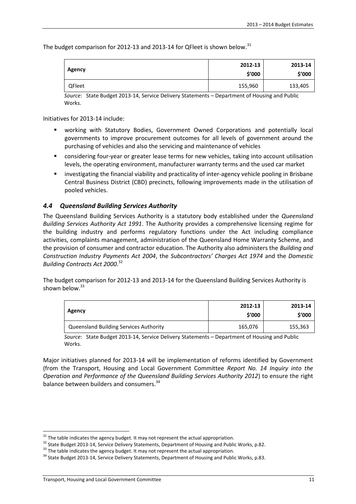The budget comparison for 2012-13 and 2013-14 for QFleet is shown below.<sup>31</sup>

| <b>Agency</b> | 2012-13<br>\$'000 | 2013-14<br>\$′000 |
|---------------|-------------------|-------------------|
| <b>QFleet</b> | 155,960           | 133,405           |

*Source*: State Budget 2013-14, Service Delivery Statements – Department of Housing and Public **Works** 

Initiatives for 2013-14 include:

- working with Statutory Bodies, Government Owned Corporations and potentially local governments to improve procurement outcomes for all levels of government around the purchasing of vehicles and also the servicing and maintenance of vehicles
- considering four-year or greater lease terms for new vehicles, taking into account utilisation levels, the operating environment, manufacturer warranty terms and the used car market
- investigating the financial viability and practicality of inter-agency vehicle pooling in Brisbane Central Business District (CBD) precincts, following improvements made in the utilisation of pooled vehicles.

#### *4.4 Queensland Building Services Authority*

The Queensland Building Services Authority is a statutory body established under the *Queensland Building Services Authority Act 1991*. The Authority provides a comprehensive licensing regime for the building industry and performs regulatory functions under the Act including compliance activities, complaints management, administration of the Queensland Home Warranty Scheme, and the provision of consumer and contractor education. The Authority also administers the *Building and Construction Industry Payments Act 2004*, the *Subcontractors' Charges Act 1974* and the *Domestic Building Contracts Act 2000*. 32

The budget comparison for 2012-13 and 2013-14 for the Queensland Building Services Authority is shown below. $33$ 

| Agency                                        | 2012-13<br>\$'000 | 2013-14<br>\$'000 |
|-----------------------------------------------|-------------------|-------------------|
| <b>Queensland Building Services Authority</b> | 165,076           | 155,363           |

*Source*: State Budget 2013-14, Service Delivery Statements – Department of Housing and Public Works.

Major initiatives planned for 2013-14 will be implementation of reforms identified by Government (from the Transport, Housing and Local Government Committee *Report No. 14 Inquiry into the Operation and Performance of the Queensland Building Services Authority 2012*) to ensure the right balance between builders and consumers.<sup>34</sup>

 $31$  The table indicates the agency budget. It may not represent the actual appropriation.

<sup>&</sup>lt;sup>32</sup> State Budget 2013-14, Service Delivery Statements, Department of Housing and Public Works, p.82.

<sup>&</sup>lt;sup>33</sup> The table indicates the agency budget. It may not represent the actual appropriation.

<sup>&</sup>lt;sup>34</sup> State Budget 2013-14, Service Delivery Statements, Department of Housing and Public Works, p.83.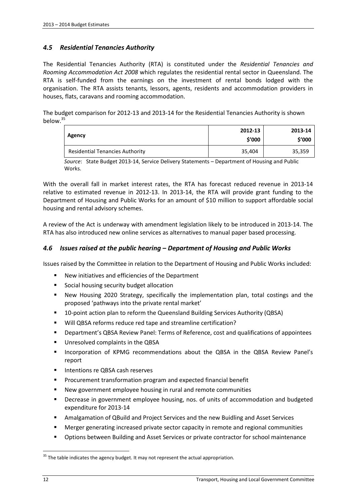#### *4.5 Residential Tenancies Authority*

The Residential Tenancies Authority (RTA) is constituted under the *Residential Tenancies and Rooming Accommodation Act 2008* which regulates the residential rental sector in Queensland. The RTA is self-funded from the earnings on the investment of rental bonds lodged with the organisation. The RTA assists tenants, lessors, agents, residents and accommodation providers in houses, flats, caravans and rooming accommodation.

The budget comparison for 2012-13 and 2013-14 for the Residential Tenancies Authority is shown below.<sup>35</sup>

| Agency                                 | 2012-13<br>\$'000 | 2013-14<br>\$′000 |
|----------------------------------------|-------------------|-------------------|
| <b>Residential Tenancies Authority</b> | 35,404            | 35,359            |

*Source*: State Budget 2013-14, Service Delivery Statements – Department of Housing and Public **Works** 

With the overall fall in market interest rates, the RTA has forecast reduced revenue in 2013-14 relative to estimated revenue in 2012-13. In 2013-14, the RTA will provide grant funding to the Department of Housing and Public Works for an amount of \$10 million to support affordable social housing and rental advisory schemes.

A review of the Act is underway with amendment legislation likely to be introduced in 2013-14. The RTA has also introduced new online services as alternatives to manual paper based processing.

#### *4.6 Issues raised at the public hearing – Department of Housing and Public Works*

Issues raised by the Committee in relation to the Department of Housing and Public Works included:

- New initiatives and efficiencies of the Department
- **Social housing security budget allocation**
- New Housing 2020 Strategy, specifically the implementation plan, total costings and the proposed 'pathways into the private rental market'
- 10-point action plan to reform the Queensland Building Services Authority (QBSA)
- Will QBSA reforms reduce red tape and streamline certification?
- Department's QBSA Review Panel: Terms of Reference, cost and qualifications of appointees
- **Unresolved complaints in the QBSA**
- **Incorporation of KPMG recommendations about the QBSA in the QBSA Review Panel's** report
- **Intentions re QBSA cash reserves**
- **Procurement transformation program and expected financial benefit**
- New government employee housing in rural and remote communities
- **•** Decrease in government employee housing, nos. of units of accommodation and budgeted expenditure for 2013-14
- Amalgamation of QBuild and Project Services and the new Buidling and Asset Services
- Merger generating increased private sector capacity in remote and regional communities
- Options between Building and Asset Services or private contractor for school maintenance

 $35$  The table indicates the agency budget. It may not represent the actual appropriation.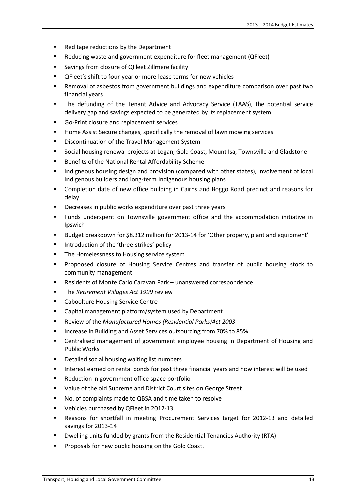- Red tape reductions by the Department
- Reducing waste and government expenditure for fleet management (QFleet)
- **EXECT** Savings from closure of QFleet Zillmere facility
- **•** QFleet's shift to four-year or more lease terms for new vehicles
- Removal of asbestos from government buildings and expenditure comparison over past two financial years
- The defunding of the Tenant Advice and Advocacy Service (TAAS), the potential service delivery gap and savings expected to be generated by its replacement system
- Go-Print closure and replacement services
- **Home Assist Secure changes, specifically the removal of lawn mowing services**
- **EXEC** Discontinuation of the Travel Management System
- Social housing renewal projects at Logan, Gold Coast, Mount Isa, Townsville and Gladstone
- Benefits of the National Rental Affordability Scheme
- **Indigneous housing design and provision (compared with other states), involvement of local** Indigenous builders and long-term Indigenous housing plans
- Completion date of new office building in Cairns and Boggo Road precinct and reasons for delay
- Decreases in public works expenditure over past three years
- Funds underspent on Townsville government office and the accommodation initiative in Ipswich
- Budget breakdown for \$8.312 million for 2013-14 for 'Other propery, plant and equipment'
- **Introduction of the 'three-strikes' policy**
- **The Homelessness to Housing service system**
- **Propoosed closure of Housing Service Centres and transfer of public housing stock to** community management
- Residents of Monte Carlo Caravan Park unanswered correspondence
- The *Retirement Villages Act 1999* review
- **E** Caboolture Housing Service Centre
- Capital management platform/system used by Department
- Review of the *Manufactured Homes (Residential Parks)Act 2003*
- Increase in Building and Asset Services outsourcing from 70% to 85%
- **EXEC** Centralised management of government employee housing in Department of Housing and Public Works
- **Detailed social housing waiting list numbers**
- Interest earned on rental bonds for past three financial years and how interest will be used
- Reduction in government office space portfolio
- **URIOU** Value of the old Supreme and District Court sites on George Street
- No. of complaints made to QBSA and time taken to resolve
- Vehicles purchased by QFleet in 2012-13
- Reasons for shortfall in meeting Procurement Services target for 2012-13 and detailed savings for 2013-14
- Dwelling units funded by grants from the Residential Tenancies Authority (RTA)
- Proposals for new public housing on the Gold Coast.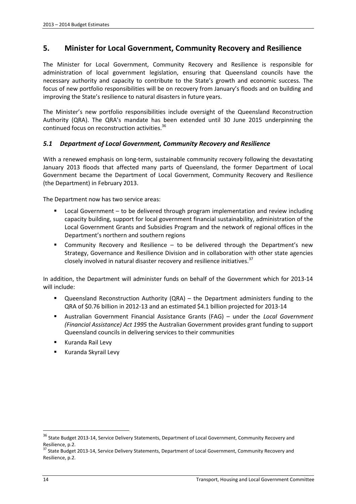# **5. Minister for Local Government, Community Recovery and Resilience**

The Minister for Local Government, Community Recovery and Resilience is responsible for administration of local government legislation, ensuring that Queensland councils have the necessary authority and capacity to contribute to the State's growth and economic success. The focus of new portfolio responsibilities will be on recovery from January's floods and on building and improving the State's resilience to natural disasters in future years.

The Minister's new portfolio responsibilities include oversight of the Queensland Reconstruction Authority (QRA). The QRA's mandate has been extended until 30 June 2015 underpinning the continued focus on reconstruction activities.<sup>36</sup>

#### *5.1 Department of Local Government, Community Recovery and Resilience*

With a renewed emphasis on long-term, sustainable community recovery following the devastating January 2013 floods that affected many parts of Queensland, the former Department of Local Government became the Department of Local Government, Community Recovery and Resilience (the Department) in February 2013.

The Department now has two service areas:

- Local Government to be delivered through program implementation and review including capacity building, support for local government financial sustainability, administration of the Local Government Grants and Subsidies Program and the network of regional offices in the Department's northern and southern regions
- Community Recovery and Resilience to be delivered through the Department's new Strategy, Governance and Resilience Division and in collaboration with other state agencies closely involved in natural disaster recovery and resilience initiatives.<sup>37</sup>

In addition, the Department will administer funds on behalf of the Government which for 2013-14 will include:

- Queensland Reconstruction Authority (QRA) the Department administers funding to the QRA of \$0.76 billion in 2012-13 and an estimated \$4.1 billion projected for 2013-14
- Australian Government Financial Assistance Grants (FAG) under the *Local Government (Financial Assistance) Act 1995* the Australian Government provides grant funding to support Queensland councils in delivering services to their communities
- Kuranda Rail Levy
- **Kuranda Skyrail Levy**

<sup>&</sup>lt;sup>36</sup> State Budget 2013-14, Service Delivery Statements, Department of Local Government, Community Recovery and Resilience, p.2.

<sup>&</sup>lt;sup>37</sup> State Budget 2013-14, Service Delivery Statements, Department of Local Government, Community Recovery and Resilience, p.2.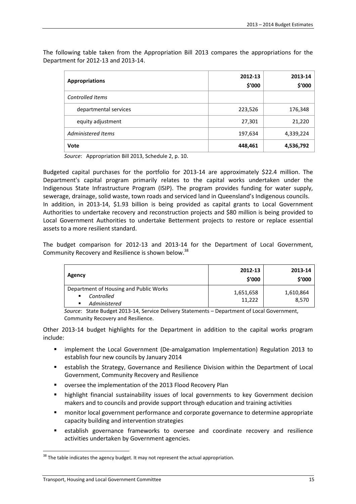The following table taken from the Appropriation Bill 2013 compares the appropriations for the Department for 2012-13 and 2013-14.

| <b>Appropriations</b>   | 2012-13<br>\$'000 | 2013-14<br>\$'000 |
|-------------------------|-------------------|-------------------|
| <b>Controlled Items</b> |                   |                   |
| departmental services   | 223,526           | 176,348           |
| equity adjustment       | 27,301            | 21,220            |
| Administered Items      | 197,634           | 4,339,224         |
| Vote                    | 448,461           | 4,536,792         |

*Source*: Appropriation Bill 2013, Schedule 2, p. 10.

Budgeted capital purchases for the portfolio for 2013-14 are approximately \$22.4 million. The Department's capital program primarily relates to the capital works undertaken under the Indigenous State Infrastructure Program (ISIP). The program provides funding for water supply, sewerage, drainage, solid waste, town roads and serviced land in Queensland's Indigenous councils. In addition, in 2013-14, \$1.93 billion is being provided as capital grants to Local Government Authorities to undertake recovery and reconstruction projects and \$80 million is being provided to Local Government Authorities to undertake Betterment projects to restore or replace essential assets to a more resilient standard.

The budget comparison for 2012-13 and 2013-14 for the Department of Local Government, Community Recovery and Resilience is shown below.<sup>38</sup>

| Agency                                                                         | 2012-13<br>\$'000   | 2013-14<br>\$′000  |
|--------------------------------------------------------------------------------|---------------------|--------------------|
| Department of Housing and Public Works<br>Controlled<br>٠<br>Administered<br>п | 1,651,658<br>11.222 | 1,610,864<br>8.570 |

*Source*: State Budget 2013-14, Service Delivery Statements – Department of Local Government, Community Recovery and Resilience.

Other 2013-14 budget highlights for the Department in addition to the capital works program include:

- implement the Local Government (De-amalgamation Implementation) Regulation 2013 to establish four new councils by January 2014
- establish the Strategy, Governance and Resilience Division within the Department of Local Government, Community Recovery and Resilience
- oversee the implementation of the 2013 Flood Recovery Plan
- **•** highlight financial sustainability issues of local governments to key Government decision makers and to councils and provide support through education and training activities
- **EXECT** monitor local government performance and corporate governance to determine appropriate capacity building and intervention strategies
- establish governance frameworks to oversee and coordinate recovery and resilience activities undertaken by Government agencies.

 $38$  The table indicates the agency budget. It may not represent the actual appropriation.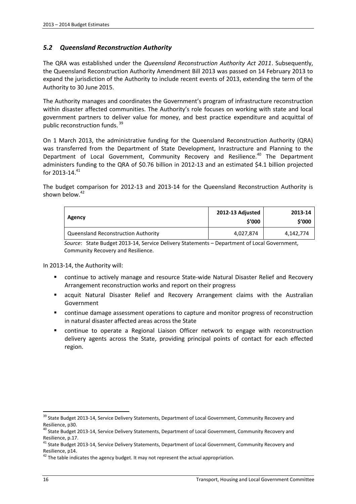#### *5.2 Queensland Reconstruction Authority*

The QRA was established under the *Queensland Reconstruction Authority Act 2011*. Subsequently, the Queensland Reconstruction Authority Amendment Bill 2013 was passed on 14 February 2013 to expand the jurisdiction of the Authority to include recent events of 2013, extending the term of the Authority to 30 June 2015.

The Authority manages and coordinates the Government's program of infrastructure reconstruction within disaster affected communities. The Authority's role focuses on working with state and local government partners to deliver value for money, and best practice expenditure and acquittal of public reconstruction funds. <sup>39</sup>

On 1 March 2013, the administrative funding for the Queensland Reconstruction Authority (QRA) was transferred from the Department of State Development, Inrastructure and Planning to the Department of Local Government, Community Recovery and Resilience.<sup>40</sup> The Department administers funding to the QRA of \$0.76 billion in 2012-13 and an estimated \$4.1 billion projected for 2013-14. $41$ 

The budget comparison for 2012-13 and 2013-14 for the Queensland Reconstruction Authority is shown below.<sup>42</sup>

| Agency                              | 2012-13 Adjusted<br>\$′000 | 2013-14<br>\$'000 |
|-------------------------------------|----------------------------|-------------------|
| Queensland Reconstruction Authority | 4,027,874                  | 4,142,774         |

*Source*: State Budget 2013-14, Service Delivery Statements – Department of Local Government, Community Recovery and Resilience.

In 2013-14, the Authority will:

- continue to actively manage and resource State-wide Natural Disaster Relief and Recovery Arrangement reconstruction works and report on their progress
- acquit Natural Disaster Relief and Recovery Arrangement claims with the Australian Government
- continue damage assessment operations to capture and monitor progress of reconstruction in natural disaster affected areas across the State
- continue to operate a Regional Liaison Officer network to engage with reconstruction delivery agents across the State, providing principal points of contact for each effected region.

<sup>&</sup>lt;sup>39</sup> State Budget 2013-14, Service Delivery Statements, Department of Local Government, Community Recovery and Resilience, p30.

<sup>&</sup>lt;sup>40</sup> State Budget 2013-14, Service Delivery Statements, Department of Local Government, Community Recovery and Resilience, p.17.

<sup>&</sup>lt;sup>41</sup> State Budget 2013-14, Service Delivery Statements, Department of Local Government, Community Recovery and Resilience, p14.

 $42$  The table indicates the agency budget. It may not represent the actual appropriation.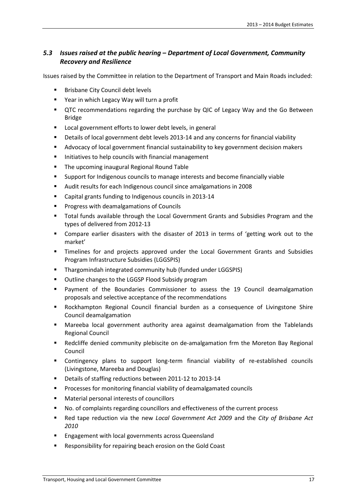#### *5.3 Issues raised at the public hearing – Department of Local Government, Community Recovery and Resilience*

Issues raised by the Committee in relation to the Department of Transport and Main Roads included:

- Brisbane City Council debt levels
- Year in which Legacy Way will turn a profit
- QTC recommendations regarding the purchase by QIC of Legacy Way and the Go Between Bridge
- **Local government efforts to lower debt levels, in general**
- Details of local government debt levels 2013-14 and any concerns for financial viability
- **Advocacy of local government financial sustainability to key government decision makers**
- Initiatives to help councils with financial management
- **The upcoming inaugural Regional Round Table**
- Support for Indigenous councils to manage interests and become financially viable
- Audit results for each Indigenous council since amalgamations in 2008
- Capital grants funding to Indigenous councils in 2013-14
- **Progress with deamalgamations of Councils**
- **Total funds available through the Local Government Grants and Subsidies Program and the** types of delivered from 2012-13
- Compare earlier disasters with the disaster of 2013 in terms of 'getting work out to the market'
- Timelines for and projects approved under the Local Government Grants and Subsidies Program Infrastructure Subsidies (LGGSPIS)
- **Thargomindah integrated community hub (funded under LGGSPIS)**
- **Outline changes to the LGGSP Flood Subsidy program**
- Payment of the Boundaries Commissioner to assess the 19 Council deamalgamation proposals and selective acceptance of the recommendations
- Rockhampton Regional Council financial burden as a consequence of Livingstone Shire Council deamalgamation
- Mareeba local government authority area against deamalgamation from the Tablelands Regional Council
- Redcliffe denied community plebiscite on de-amalgamation frm the Moreton Bay Regional Council
- Contingency plans to support long-term financial viability of re-established councils (Livingstone, Mareeba and Douglas)
- Details of staffing reductions between 2011-12 to 2013-14
- **Processes for monitoring financial viability of deamalgamated councils**
- Material personal interests of councillors
- No. of complaints regarding councillors and effectiveness of the current process
- Red tape reduction via the new *Local Government Act 2009* and the *City of Brisbane Act 2010*
- **Engagement with local governments across Queensland**
- **Responsibility for repairing beach erosion on the Gold Coast**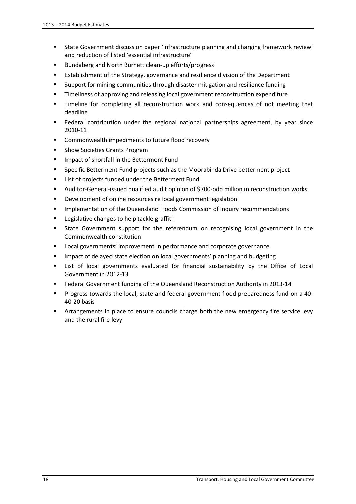- State Government discussion paper 'Infrastructure planning and charging framework review' and reduction of listed 'essential infrastructure'
- **Bundaberg and North Burnett clean-up efforts/progress**
- **EXTER 19 Establishment of the Strategy, governance and resilience division of the Department**
- **Support for mining communities through disaster mitigation and resilience funding**
- Timeliness of approving and releasing local government reconstruction expenditure
- Timeline for completing all reconstruction work and consequences of not meeting that deadline
- Federal contribution under the regional national partnerships agreement, by year since 2010-11
- Commonwealth impediments to future flood recovery
- **Show Societies Grants Program**
- **IMPACT OF SHOTT SHOTTLE BETTER FUNDER**
- Specific Betterment Fund projects such as the Moorabinda Drive betterment project
- **EXECT:** List of projects funded under the Betterment Fund
- Auditor-General-issued qualified audit opinion of \$700-odd million in reconstruction works
- **Development of online resources re local government legislation**
- Implementation of the Queensland Floods Commission of Inquiry recommendations
- **EXEC** Legislative changes to help tackle graffiti
- State Government support for the referendum on recognising local government in the Commonwealth constitution
- **EXEC** Local governments' improvement in performance and corporate governance
- **IMPACT OF DEAVER 19 INCO STATE EXAMPLE 10 INCO STATE:** Impact of delayed ing
- List of local governments evaluated for financial sustainability by the Office of Local Government in 2012-13
- Federal Government funding of the Queensland Reconstruction Authority in 2013-14
- Progress towards the local, state and federal government flood preparedness fund on a 40- 40-20 basis
- Arrangements in place to ensure councils charge both the new emergency fire service levy and the rural fire levy.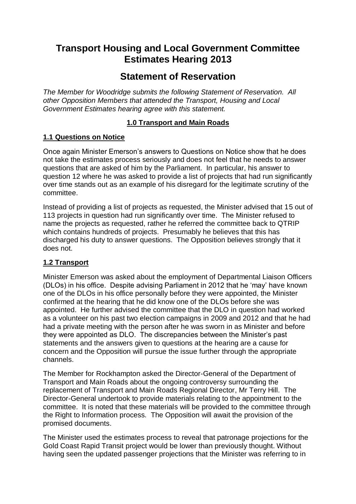# **Transport Housing and Local Government Committee Estimates Hearing 2013**

# **Statement of Reservation**

*The Member for Woodridge submits the following Statement of Reservation. All other Opposition Members that attended the Transport, Housing and Local Government Estimates hearing agree with this statement.* 

# **1.0 Transport and Main Roads**

# **1.1 Questions on Notice**

Once again Minister Emerson's answers to Questions on Notice show that he does not take the estimates process seriously and does not feel that he needs to answer questions that are asked of him by the Parliament. In particular, his answer to question 12 where he was asked to provide a list of projects that had run significantly over time stands out as an example of his disregard for the legitimate scrutiny of the committee.

Instead of providing a list of projects as requested, the Minister advised that 15 out of 113 projects in question had run significantly over time. The Minister refused to name the projects as requested, rather he referred the committee back to QTRIP which contains hundreds of projects. Presumably he believes that this has discharged his duty to answer questions. The Opposition believes strongly that it does not.

# **1.2 Transport**

Minister Emerson was asked about the employment of Departmental Liaison Officers (DLOs) in his office. Despite advising Parliament in 2012 that he 'may' have known one of the DLOs in his office personally before they were appointed, the Minister confirmed at the hearing that he did know one of the DLOs before she was appointed. He further advised the committee that the DLO in question had worked as a volunteer on his past two election campaigns in 2009 and 2012 and that he had had a private meeting with the person after he was sworn in as Minister and before they were appointed as DLO. The discrepancies between the Minister's past statements and the answers given to questions at the hearing are a cause for concern and the Opposition will pursue the issue further through the appropriate channels.

The Member for Rockhampton asked the Director-General of the Department of Transport and Main Roads about the ongoing controversy surrounding the replacement of Transport and Main Roads Regional Director, Mr Terry Hill. The Director-General undertook to provide materials relating to the appointment to the committee. It is noted that these materials will be provided to the committee through the Right to Information process. The Opposition will await the provision of the promised documents.

The Minister used the estimates process to reveal that patronage projections for the Gold Coast Rapid Transit project would be lower than previously thought. Without having seen the updated passenger projections that the Minister was referring to in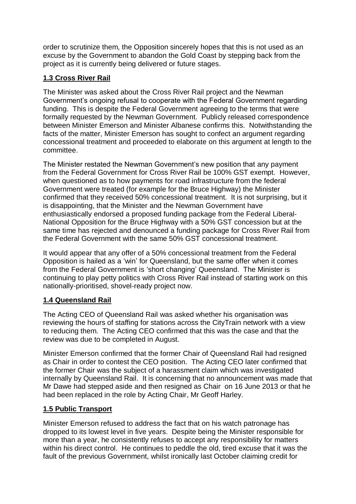order to scrutinize them, the Opposition sincerely hopes that this is not used as an excuse by the Government to abandon the Gold Coast by stepping back from the project as it is currently being delivered or future stages.

# **1.3 Cross River Rail**

The Minister was asked about the Cross River Rail project and the Newman Government's ongoing refusal to cooperate with the Federal Government regarding funding. This is despite the Federal Government agreeing to the terms that were formally requested by the Newman Government. Publicly released correspondence between Minister Emerson and Minister Albanese confirms this. Notwithstanding the facts of the matter, Minister Emerson has sought to confect an argument regarding concessional treatment and proceeded to elaborate on this argument at length to the committee.

The Minister restated the Newman Government's new position that any payment from the Federal Government for Cross River Rail be 100% GST exempt. However, when questioned as to how payments for road infrastructure from the federal Government were treated (for example for the Bruce Highway) the Minister confirmed that they received 50% concessional treatment. It is not surprising, but it is disappointing, that the Minister and the Newman Government have enthusiastically endorsed a proposed funding package from the Federal Liberal-National Opposition for the Bruce Highway with a 50% GST concession but at the same time has rejected and denounced a funding package for Cross River Rail from the Federal Government with the same 50% GST concessional treatment.

It would appear that any offer of a 50% concessional treatment from the Federal Opposition is hailed as a 'win' for Queensland, but the same offer when it comes from the Federal Government is 'short changing' Queensland. The Minister is continuing to play petty politics with Cross River Rail instead of starting work on this nationally-prioritised, shovel-ready project now.

# **1.4 Queensland Rail**

The Acting CEO of Queensland Rail was asked whether his organisation was reviewing the hours of staffing for stations across the CityTrain network with a view to reducing them. The Acting CEO confirmed that this was the case and that the review was due to be completed in August.

Minister Emerson confirmed that the former Chair of Queensland Rail had resigned as Chair in order to contest the CEO position. The Acting CEO later confirmed that the former Chair was the subject of a harassment claim which was investigated internally by Queensland Rail. It is concerning that no announcement was made that Mr Dawe had stepped aside and then resigned as Chair on 16 June 2013 or that he had been replaced in the role by Acting Chair, Mr Geoff Harley.

# **1.5 Public Transport**

Minister Emerson refused to address the fact that on his watch patronage has dropped to its lowest level in five years. Despite being the Minister responsible for more than a year, he consistently refuses to accept any responsibility for matters within his direct control. He continues to peddle the old, tired excuse that it was the fault of the previous Government, whilst ironically last October claiming credit for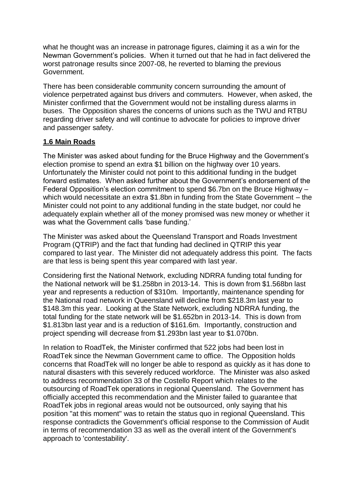what he thought was an increase in patronage figures, claiming it as a win for the Newman Government's policies. When it turned out that he had in fact delivered the worst patronage results since 2007-08, he reverted to blaming the previous Government.

There has been considerable community concern surrounding the amount of violence perpetrated against bus drivers and commuters. However, when asked, the Minister confirmed that the Government would not be installing duress alarms in buses. The Opposition shares the concerns of unions such as the TWU and RTBU regarding driver safety and will continue to advocate for policies to improve driver and passenger safety.

#### **1.6 Main Roads**

The Minister was asked about funding for the Bruce Highway and the Government's election promise to spend an extra \$1 billion on the highway over 10 years. Unfortunately the Minister could not point to this additional funding in the budget forward estimates. When asked further about the Government's endorsement of the Federal Opposition's election commitment to spend \$6.7bn on the Bruce Highway – which would necessitate an extra \$1.8bn in funding from the State Government – the Minister could not point to any additional funding in the state budget, nor could he adequately explain whether all of the money promised was new money or whether it was what the Government calls 'base funding.'

The Minister was asked about the Queensland Transport and Roads Investment Program (QTRIP) and the fact that funding had declined in QTRIP this year compared to last year. The Minister did not adequately address this point. The facts are that less is being spent this year compared with last year.

Considering first the National Network, excluding NDRRA funding total funding for the National network will be \$1.258bn in 2013-14. This is down from \$1.568bn last year and represents a reduction of \$310m. Importantly, maintenance spending for the National road network in Queensland will decline from \$218.3m last year to \$148.3m this year. Looking at the State Network, excluding NDRRA funding, the total funding for the state network will be \$1.652bn in 2013-14. This is down from \$1.813bn last year and is a reduction of \$161.6m. Importantly, construction and project spending will decrease from \$1.293bn last year to \$1.070bn.

In relation to RoadTek, the Minister confirmed that 522 jobs had been lost in RoadTek since the Newman Government came to office. The Opposition holds concerns that RoadTek will no longer be able to respond as quickly as it has done to natural disasters with this severely reduced workforce. The Minister was also asked to address recommendation 33 of the Costello Report which relates to the outsourcing of RoadTek operations in regional Queensland. The Government has officially accepted this recommendation and the Minister failed to guarantee that RoadTek jobs in regional areas would not be outsourced, only saying that his position "at this moment" was to retain the status quo in regional Queensland. This response contradicts the Government's official response to the Commission of Audit in terms of recommendation 33 as well as the overall intent of the Government's approach to 'contestability'.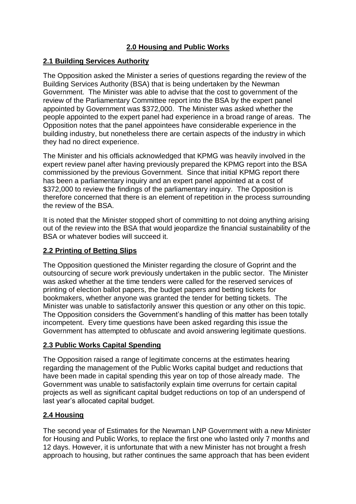# **2.0 Housing and Public Works**

## **2.1 Building Services Authority**

The Opposition asked the Minister a series of questions regarding the review of the Building Services Authority (BSA) that is being undertaken by the Newman Government. The Minister was able to advise that the cost to government of the review of the Parliamentary Committee report into the BSA by the expert panel appointed by Government was \$372,000. The Minister was asked whether the people appointed to the expert panel had experience in a broad range of areas. The Opposition notes that the panel appointees have considerable experience in the building industry, but nonetheless there are certain aspects of the industry in which they had no direct experience.

The Minister and his officials acknowledged that KPMG was heavily involved in the expert review panel after having previously prepared the KPMG report into the BSA commissioned by the previous Government. Since that initial KPMG report there has been a parliamentary inquiry and an expert panel appointed at a cost of \$372,000 to review the findings of the parliamentary inquiry. The Opposition is therefore concerned that there is an element of repetition in the process surrounding the review of the BSA.

It is noted that the Minister stopped short of committing to not doing anything arising out of the review into the BSA that would jeopardize the financial sustainability of the BSA or whatever bodies will succeed it.

# **2.2 Printing of Betting Slips**

The Opposition questioned the Minister regarding the closure of Goprint and the outsourcing of secure work previously undertaken in the public sector. The Minister was asked whether at the time tenders were called for the reserved services of printing of election ballot papers, the budget papers and betting tickets for bookmakers, whether anyone was granted the tender for betting tickets. The Minister was unable to satisfactorily answer this question or any other on this topic. The Opposition considers the Government's handling of this matter has been totally incompetent. Every time questions have been asked regarding this issue the Government has attempted to obfuscate and avoid answering legitimate questions.

# **2.3 Public Works Capital Spending**

The Opposition raised a range of legitimate concerns at the estimates hearing regarding the management of the Public Works capital budget and reductions that have been made in capital spending this year on top of those already made. The Government was unable to satisfactorily explain time overruns for certain capital projects as well as significant capital budget reductions on top of an underspend of last year's allocated capital budget.

# **2.4 Housing**

The second year of Estimates for the Newman LNP Government with a new Minister for Housing and Public Works, to replace the first one who lasted only 7 months and 12 days. However, it is unfortunate that with a new Minister has not brought a fresh approach to housing, but rather continues the same approach that has been evident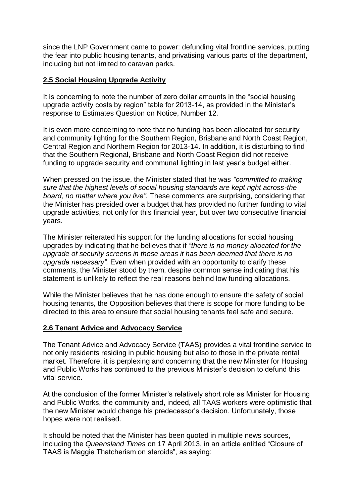since the LNP Government came to power: defunding vital frontline services, putting the fear into public housing tenants, and privatising various parts of the department, including but not limited to caravan parks.

## **2.5 Social Housing Upgrade Activity**

It is concerning to note the number of zero dollar amounts in the "social housing upgrade activity costs by region" table for 2013-14, as provided in the Minister's response to Estimates Question on Notice, Number 12.

It is even more concerning to note that no funding has been allocated for security and community lighting for the Southern Region, Brisbane and North Coast Region, Central Region and Northern Region for 2013-14. In addition, it is disturbing to find that the Southern Regional, Brisbane and North Coast Region did not receive funding to upgrade security and communal lighting in last year's budget either.

When pressed on the issue, the Minister stated that he was *"committed to making sure that the highest levels of social housing standards are kept right across-the board, no matter where you live".* These comments are surprising, considering that the Minister has presided over a budget that has provided no further funding to vital upgrade activities, not only for this financial year, but over two consecutive financial years.

The Minister reiterated his support for the funding allocations for social housing upgrades by indicating that he believes that if *"there is no money allocated for the upgrade of security screens in those areas it has been deemed that there is no upgrade necessary".* Even when provided with an opportunity to clarify these comments, the Minister stood by them, despite common sense indicating that his statement is unlikely to reflect the real reasons behind low funding allocations.

While the Minister believes that he has done enough to ensure the safety of social housing tenants, the Opposition believes that there is scope for more funding to be directed to this area to ensure that social housing tenants feel safe and secure.

#### **2.6 Tenant Advice and Advocacy Service**

The Tenant Advice and Advocacy Service (TAAS) provides a vital frontline service to not only residents residing in public housing but also to those in the private rental market. Therefore, it is perplexing and concerning that the new Minister for Housing and Public Works has continued to the previous Minister's decision to defund this vital service.

At the conclusion of the former Minister's relatively short role as Minister for Housing and Public Works, the community and, indeed, all TAAS workers were optimistic that the new Minister would change his predecessor's decision. Unfortunately, those hopes were not realised.

It should be noted that the Minister has been quoted in multiple news sources, including the *Queensland Times* on 17 April 2013, in an article entitled "Closure of TAAS is Maggie Thatcherism on steroids", as saying: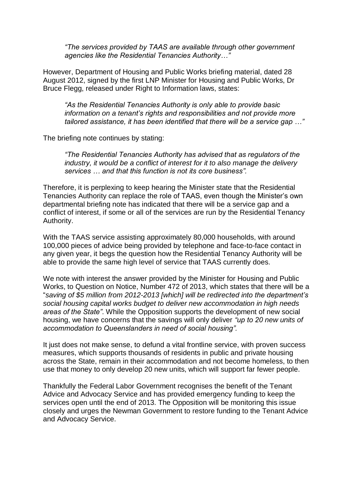*"The services provided by TAAS are available through other government agencies like the Residential Tenancies Authority…"*

However, Department of Housing and Public Works briefing material, dated 28 August 2012, signed by the first LNP Minister for Housing and Public Works, Dr Bruce Flegg, released under Right to Information laws, states:

*"As the Residential Tenancies Authority is only able to provide basic information on a tenant's rights and responsibilities and not provide more tailored assistance, it has been identified that there will be a service gap …"*

The briefing note continues by stating:

*"The Residential Tenancies Authority has advised that as regulators of the industry, it would be a conflict of interest for it to also manage the delivery services … and that this function is not its core business".*

Therefore, it is perplexing to keep hearing the Minister state that the Residential Tenancies Authority can replace the role of TAAS, even though the Minister's own departmental briefing note has indicated that there will be a service gap and a conflict of interest, if some or all of the services are run by the Residential Tenancy Authority.

With the TAAS service assisting approximately 80,000 households, with around 100,000 pieces of advice being provided by telephone and face-to-face contact in any given year, it begs the question how the Residential Tenancy Authority will be able to provide the same high level of service that TAAS currently does.

We note with interest the answer provided by the Minister for Housing and Public Works, to Question on Notice, Number 472 of 2013, which states that there will be a "*saving of \$5 million from 2012-2013 [which] will be redirected into the department's social housing capital works budget to deliver new accommodation in high needs areas of the State"*. While the Opposition supports the development of new social housing, we have concerns that the savings will only deliver *"up to 20 new units of accommodation to Queenslanders in need of social housing".*

It just does not make sense, to defund a vital frontline service, with proven success measures, which supports thousands of residents in public and private housing across the State, remain in their accommodation and not become homeless, to then use that money to only develop 20 new units, which will support far fewer people.

Thankfully the Federal Labor Government recognises the benefit of the Tenant Advice and Advocacy Service and has provided emergency funding to keep the services open until the end of 2013. The Opposition will be monitoring this issue closely and urges the Newman Government to restore funding to the Tenant Advice and Advocacy Service.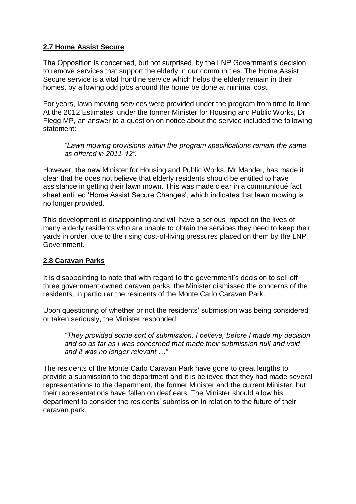# **2.7 Home Assist Secure**

The Opposition is concerned, but not surprised, by the LNP Government's decision to remove services that support the elderly in our communities. The Home Assist Secure service is a vital frontline service which helps the elderly remain in their homes, by allowing odd jobs around the home be done at minimal cost.

For years, lawn mowing services were provided under the program from time to time. At the 2012 Estimates, under the former Minister for Housing and Public Works, Dr Flegg MP, an answer to a question on notice about the service included the following statement:

*"Lawn mowing provisions within the program specifications remain the same as offered in 2011-12".*

However, the new Minister for Housing and Public Works, Mr Mander, has made it clear that he does not believe that elderly residents should be entitled to have assistance in getting their lawn mown. This was made clear in a communiqué fact sheet entitled 'Home Assist Secure Changes', which indicates that lawn mowing is no longer provided.

This development is disappointing and will have a serious impact on the lives of many elderly residents who are unable to obtain the services they need to keep their yards in order, due to the rising cost-of-living pressures placed on them by the LNP Government.

# **2.8 Caravan Parks**

It is disappointing to note that with regard to the government's decision to sell off three government-owned caravan parks, the Minister dismissed the concerns of the residents, in particular the residents of the Monte Carlo Caravan Park.

Upon questioning of whether or not the residents' submission was being considered or taken seriously, the Minister responded:

*"They provided some sort of submission, I believe, before I made my decision and so as far as I was concerned that made their submission null and void and it was no longer relevant …"* 

The residents of the Monte Carlo Caravan Park have gone to great lengths to provide a submission to the department and it is believed that they had made several representations to the department, the former Minister and the current Minister, but their representations have fallen on deaf ears. The Minister should allow his department to consider the residents' submission in relation to the future of their caravan park.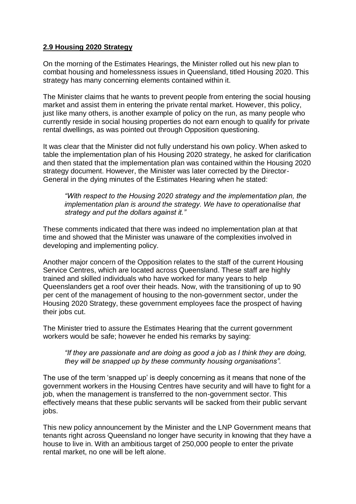## **2.9 Housing 2020 Strategy**

On the morning of the Estimates Hearings, the Minister rolled out his new plan to combat housing and homelessness issues in Queensland, titled Housing 2020. This strategy has many concerning elements contained within it.

The Minister claims that he wants to prevent people from entering the social housing market and assist them in entering the private rental market. However, this policy, just like many others, is another example of policy on the run, as many people who currently reside in social housing properties do not earn enough to qualify for private rental dwellings, as was pointed out through Opposition questioning.

It was clear that the Minister did not fully understand his own policy. When asked to table the implementation plan of his Housing 2020 strategy, he asked for clarification and then stated that the implementation plan was contained within the Housing 2020 strategy document. However, the Minister was later corrected by the Director-General in the dying minutes of the Estimates Hearing when he stated:

*"With respect to the Housing 2020 strategy and the implementation plan, the implementation plan is around the strategy. We have to operationalise that strategy and put the dollars against it."*

These comments indicated that there was indeed no implementation plan at that time and showed that the Minister was unaware of the complexities involved in developing and implementing policy.

Another major concern of the Opposition relates to the staff of the current Housing Service Centres, which are located across Queensland. These staff are highly trained and skilled individuals who have worked for many years to help Queenslanders get a roof over their heads. Now, with the transitioning of up to 90 per cent of the management of housing to the non-government sector, under the Housing 2020 Strategy, these government employees face the prospect of having their jobs cut.

The Minister tried to assure the Estimates Hearing that the current government workers would be safe; however he ended his remarks by saying:

#### *"If they are passionate and are doing as good a job as I think they are doing, they will be snapped up by these community housing organisations".*

The use of the term 'snapped up' is deeply concerning as it means that none of the government workers in the Housing Centres have security and will have to fight for a job, when the management is transferred to the non-government sector. This effectively means that these public servants will be sacked from their public servant jobs.

This new policy announcement by the Minister and the LNP Government means that tenants right across Queensland no longer have security in knowing that they have a house to live in. With an ambitious target of 250,000 people to enter the private rental market, no one will be left alone.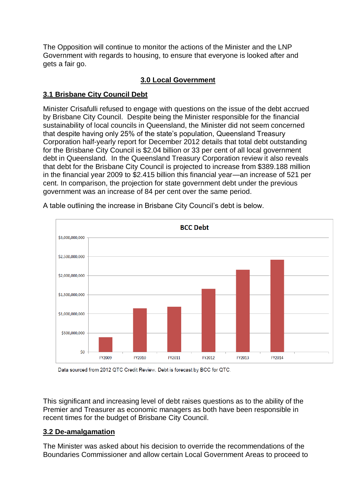The Opposition will continue to monitor the actions of the Minister and the LNP Government with regards to housing, to ensure that everyone is looked after and gets a fair go.

# **3.0 Local Government**

# **3.1 Brisbane City Council Debt**

Minister Crisafulli refused to engage with questions on the issue of the debt accrued by Brisbane City Council. Despite being the Minister responsible for the financial sustainability of local councils in Queensland, the Minister did not seem concerned that despite having only 25% of the state's population, Queensland Treasury Corporation half-yearly report for December 2012 details that total debt outstanding for the Brisbane City Council is \$2.04 billion or 33 per cent of all local government debt in Queensland. In the Queensland Treasury Corporation review it also reveals that debt for the Brisbane City Council is projected to increase from \$389.188 million in the financial year 2009 to \$2.415 billion this financial year—an increase of 521 per cent. In comparison, the projection for state government debt under the previous government was an increase of 84 per cent over the same period.



A table outlining the increase in Brisbane City Council's debt is below.

Data sourced from 2012 QTC Credit Review. Debt is forecast by BCC for QTC.

This significant and increasing level of debt raises questions as to the ability of the Premier and Treasurer as economic managers as both have been responsible in recent times for the budget of Brisbane City Council.

# **3.2 De-amalgamation**

The Minister was asked about his decision to override the recommendations of the Boundaries Commissioner and allow certain Local Government Areas to proceed to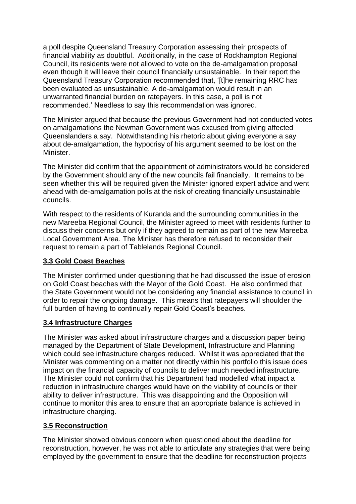a poll despite Queensland Treasury Corporation assessing their prospects of financial viability as doubtful. Additionally, in the case of Rockhampton Regional Council, its residents were not allowed to vote on the de-amalgamation proposal even though it will leave their council financially unsustainable. In their report the Queensland Treasury Corporation recommended that, '[t]he remaining RRC has been evaluated as unsustainable. A de‐amalgamation would result in an unwarranted financial burden on ratepayers. In this case, a poll is not recommended.' Needless to say this recommendation was ignored.

The Minister argued that because the previous Government had not conducted votes on amalgamations the Newman Government was excused from giving affected Queenslanders a say. Notwithstanding his rhetoric about giving everyone a say about de-amalgamation, the hypocrisy of his argument seemed to be lost on the Minister.

The Minister did confirm that the appointment of administrators would be considered by the Government should any of the new councils fail financially. It remains to be seen whether this will be required given the Minister ignored expert advice and went ahead with de-amalgamation polls at the risk of creating financially unsustainable councils.

With respect to the residents of Kuranda and the surrounding communities in the new Mareeba Regional Council, the Minister agreed to meet with residents further to discuss their concerns but only if they agreed to remain as part of the new Mareeba Local Government Area. The Minister has therefore refused to reconsider their request to remain a part of Tablelands Regional Council.

# **3.3 Gold Coast Beaches**

The Minister confirmed under questioning that he had discussed the issue of erosion on Gold Coast beaches with the Mayor of the Gold Coast. He also confirmed that the State Government would not be considering any financial assistance to council in order to repair the ongoing damage. This means that ratepayers will shoulder the full burden of having to continually repair Gold Coast's beaches.

#### **3.4 Infrastructure Charges**

The Minister was asked about infrastructure charges and a discussion paper being managed by the Department of State Development, Infrastructure and Planning which could see infrastructure charges reduced. Whilst it was appreciated that the Minister was commenting on a matter not directly within his portfolio this issue does impact on the financial capacity of councils to deliver much needed infrastructure. The Minister could not confirm that his Department had modelled what impact a reduction in infrastructure charges would have on the viability of councils or their ability to deliver infrastructure. This was disappointing and the Opposition will continue to monitor this area to ensure that an appropriate balance is achieved in infrastructure charging.

#### **3.5 Reconstruction**

The Minister showed obvious concern when questioned about the deadline for reconstruction, however, he was not able to articulate any strategies that were being employed by the government to ensure that the deadline for reconstruction projects